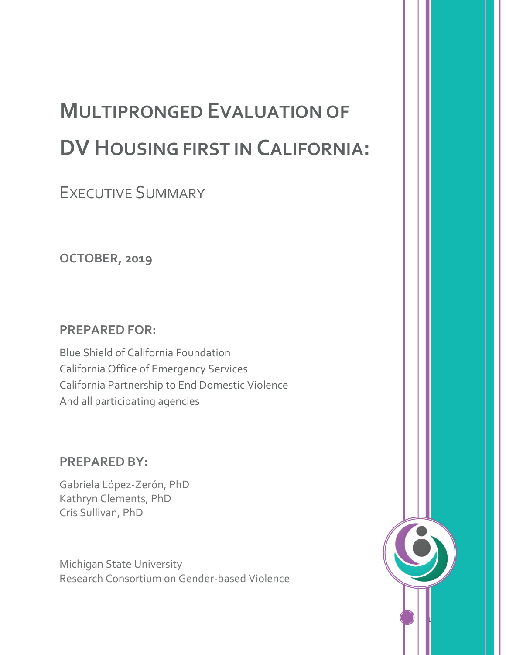# **MULTIPRONGED EVALUATION OF DV HOUSING FIRST IN CALIFORNIA:**

EXECUTIVE SUMMARY

**OCTOBER, 2019**

#### **PREPARED FOR:**

Blue Shield of California Foundation California Office of Emergency Services California Partnership to End Domestic Violence And all participating agencies

#### **PREPARED BY:**

Gabriela López-Zerón, PhD Kathryn Clements, PhD Cris Sullivan, PhD

Michigan State University Research Consortium on Gender-based Violence

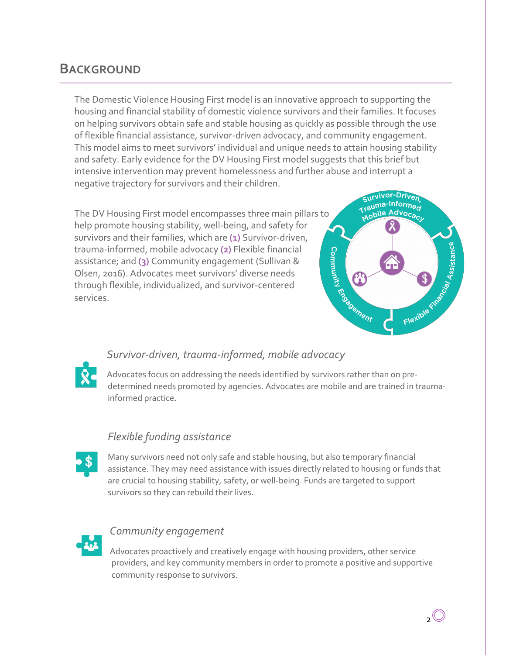### **BACKGROUND**

The Domestic Violence Housing First model is an innovative approach to supporting the housing and financial stability of domestic violence survivors and their families. It focuses on helping survivors obtain safe and stable housing as quickly as possible through the use of flexible financial assistance, survivor-driven advocacy, and community engagement. This model aims to meet survivors' individual and unique needs to attain housing stability and safety. Early evidence for the DV Housing First model suggests that this brief but intensive intervention may prevent homelessness and further abuse and interrupt a negative trajectory for survivors and their children.

The DV Housing First model encompasses three main pillars to help promote housing stability, well-being, and safety for survivors and their families, which are **(1)** Survivor-driven, trauma-informed, mobile advocacy **(2)** Flexible financial assistance; and **(3)** Community engagement (Sullivan & Olsen, 2016). Advocates meet survivors' diverse needs through flexible, individualized, and survivor-centered services.



#### *Survivor-driven, trauma-informed, mobile advocacy*

Advocates focus on addressing the needs identified by survivors rather than on predetermined needs promoted by agencies. Advocates are mobile and are trained in traumainformed practice.

#### *Flexible funding assistance*



Many survivors need not only safe and stable housing, but also temporary financial assistance. They may need assistance with issues directly related to housing or funds that are crucial to housing stability, safety, or well-being. Funds are targeted to support survivors so they can rebuild their lives.



#### *Community engagement*

Advocates proactively and creatively engage with housing providers, other service providers, and key community members in order to promote a positive and supportive community response to survivors.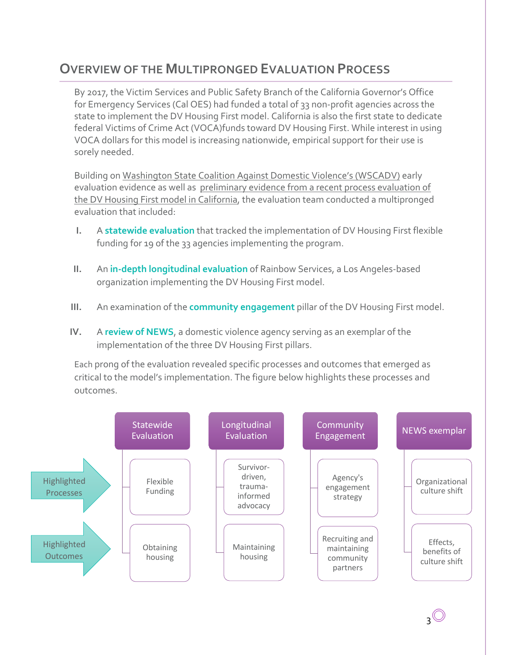## **OVERVIEW OF THE MULTIPRONGED EVALUATION PROCESS**

By 2017, the Victim Services and Public Safety Branch of the California Governor's Office for Emergency Services (Cal OES) had funded a total of 33 non-profit agencies across the state to implement the DV Housing First model. California is also the first state to dedicate federal Victims of Crime Act (VOCA)funds toward DV Housing First. While interest in using VOCA dollars for this model is increasing nationwide, empirical support for their use is sorely needed.

Building on Washington State Coalition Against Domestic Violence's (WSCADV) early evaluation evidence as well as preliminary evidence from a recent process evaluation of the DV Housing First model in California, the evaluation team conducted a multipronged evaluation that included:

- **I.** A **statewide evaluation** that tracked the implementation of DV Housing First flexible funding for 19 of the 33 agencies implementing the program.
- **II.** An **in-depth longitudinal evaluation** of Rainbow Services, a Los Angeles-based organization implementing the DV Housing First model.
- **III.** An examination of the **community engagement** pillar of the DV Housing First model.
- **IV.** A **review of NEWS**, a domestic violence agency serving as an exemplar of the implementation of the three DV Housing First pillars.

Each prong of the evaluation revealed specific processes and outcomes that emerged as critical to the model's implementation. The figure below highlights these processes and outcomes.

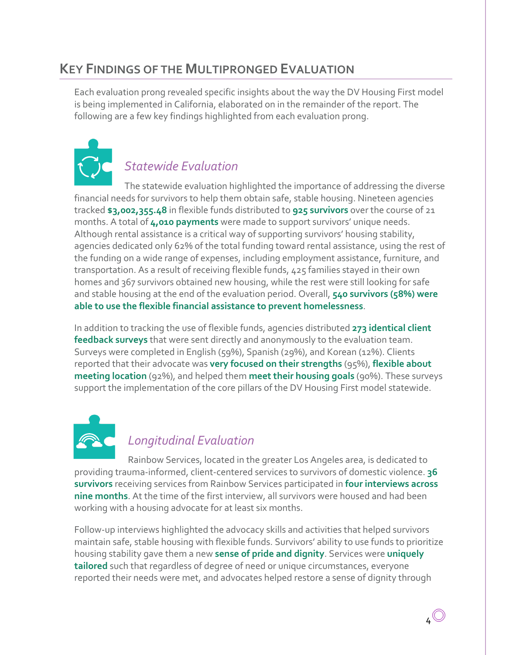## **KEY FINDINGS OF THE MULTIPRONGED EVALUATION**

Each evaluation prong revealed specific insights about the way the DV Housing First model is being implemented in California, elaborated on in the remainder of the report. The following are a few key findings highlighted from each evaluation prong.



## *Statewide Evaluation*

The statewide evaluation highlighted the importance of addressing the diverse financial needs for survivors to help them obtain safe, stable housing. Nineteen agencies tracked **\$3,002,355.48** in flexible funds distributed to **925 survivors** over the course of 21 months. A total of **4,010 payments** were made to support survivors' unique needs. Although rental assistance is a critical way of supporting survivors' housing stability, agencies dedicated only 62% of the total funding toward rental assistance, using the rest of the funding on a wide range of expenses, including employment assistance, furniture, and transportation. As a result of receiving flexible funds, 425 families stayed in their own homes and 367 survivors obtained new housing, while the rest were still looking for safe and stable housing at the end of the evaluation period. Overall, **540 survivors (58%) were able to use the flexible financial assistance to prevent homelessness**.

In addition to tracking the use of flexible funds, agencies distributed **273 identical client feedback surveys** that were sent directly and anonymously to the evaluation team. Surveys were completed in English (59%), Spanish (29%), and Korean (12%). Clients reported that their advocate was **very focused on their strengths** (95%), **flexible about meeting location** (92%), and helped them **meet their housing goals** (90%). These surveys support the implementation of the core pillars of the DV Housing First model statewide.



#### *Longitudinal Evaluation*

Rainbow Services, located in the greater Los Angeles area, is dedicated to providing trauma-informed, client-centered services to survivors of domestic violence. **36 survivors** receiving services from Rainbow Services participated in **four interviews across nine months**. At the time of the first interview, all survivors were housed and had been working with a housing advocate for at least six months.

Follow-up interviews highlighted the advocacy skills and activities that helped survivors maintain safe, stable housing with flexible funds. Survivors' ability to use funds to prioritize housing stability gave them a new **sense of pride and dignity**. Services were **uniquely tailored** such that regardless of degree of need or unique circumstances, everyone reported their needs were met, and advocates helped restore a sense of dignity through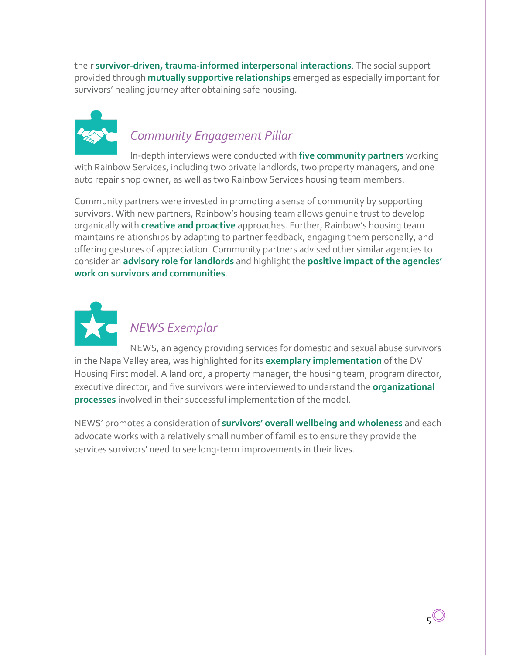their **survivor-driven, trauma-informed interpersonal interactions**. The social support provided through **mutually supportive relationships** emerged as especially important for survivors' healing journey after obtaining safe housing.



## *Community Engagement Pillar*

In-depth interviews were conducted with **five community partners** working with Rainbow Services, including two private landlords, two property managers, and one auto repair shop owner, as well as two Rainbow Services housing team members.

Community partners were invested in promoting a sense of community by supporting survivors. With new partners, Rainbow's housing team allows genuine trust to develop organically with **creative and proactive** approaches. Further, Rainbow's housing team maintains relationships by adapting to partner feedback, engaging them personally, and offering gestures of appreciation. Community partners advised other similar agencies to consider an **advisory role for landlords** and highlight the **positive impact of the agencies' work on survivors and communities**.



## *NEWS Exemplar*

NEWS, an agency providing services for domestic and sexual abuse survivors in the Napa Valley area, was highlighted for its **exemplary implementation** of the DV Housing First model. A landlord, a property manager, the housing team, program director, executive director, and five survivors were interviewed to understand the **organizational processes** involved in their successful implementation of the model.

NEWS' promotes a consideration of **survivors' overall wellbeing and wholeness** and each advocate works with a relatively small number of families to ensure they provide the services survivors' need to see long-term improvements in their lives.